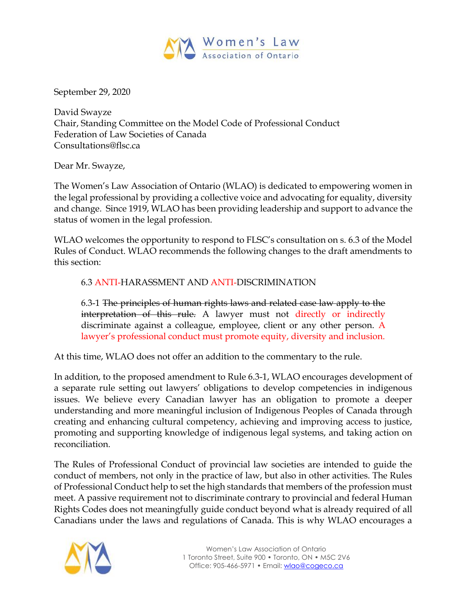

September 29, 2020

David Swayze Chair, Standing Committee on the Model Code of Professional Conduct Federation of Law Societies of Canada Consultations@flsc.ca

Dear Mr. Swayze,

The Women's Law Association of Ontario (WLAO) is dedicated to empowering women in the legal professional by providing a collective voice and advocating for equality, diversity and change. Since 1919, WLAO has been providing leadership and support to advance the status of women in the legal profession.

WLAO welcomes the opportunity to respond to FLSC's consultation on s. 6.3 of the Model Rules of Conduct. WLAO recommends the following changes to the draft amendments to this section:

## 6.3 ANTI-HARASSMENT AND ANTI-DISCRIMINATION

6.3-1 The principles of human rights laws and related case law apply to the interpretation of this rule. A lawyer must not directly or indirectly discriminate against a colleague, employee, client or any other person. A lawyer's professional conduct must promote equity, diversity and inclusion.

At this time, WLAO does not offer an addition to the commentary to the rule.

In addition, to the proposed amendment to Rule 6.3-1, WLAO encourages development of a separate rule setting out lawyers' obligations to develop competencies in indigenous issues. We believe every Canadian lawyer has an obligation to promote a deeper understanding and more meaningful inclusion of Indigenous Peoples of Canada through creating and enhancing cultural competency, achieving and improving access to justice, promoting and supporting knowledge of indigenous legal systems, and taking action on reconciliation.

The Rules of Professional Conduct of provincial law societies are intended to guide the conduct of members, not only in the practice of law, but also in other activities. The Rules of Professional Conduct help to set the high standards that members of the profession must meet. A passive requirement not to discriminate contrary to provincial and federal Human Rights Codes does not meaningfully guide conduct beyond what is already required of all Canadians under the laws and regulations of Canada. This is why WLAO encourages a